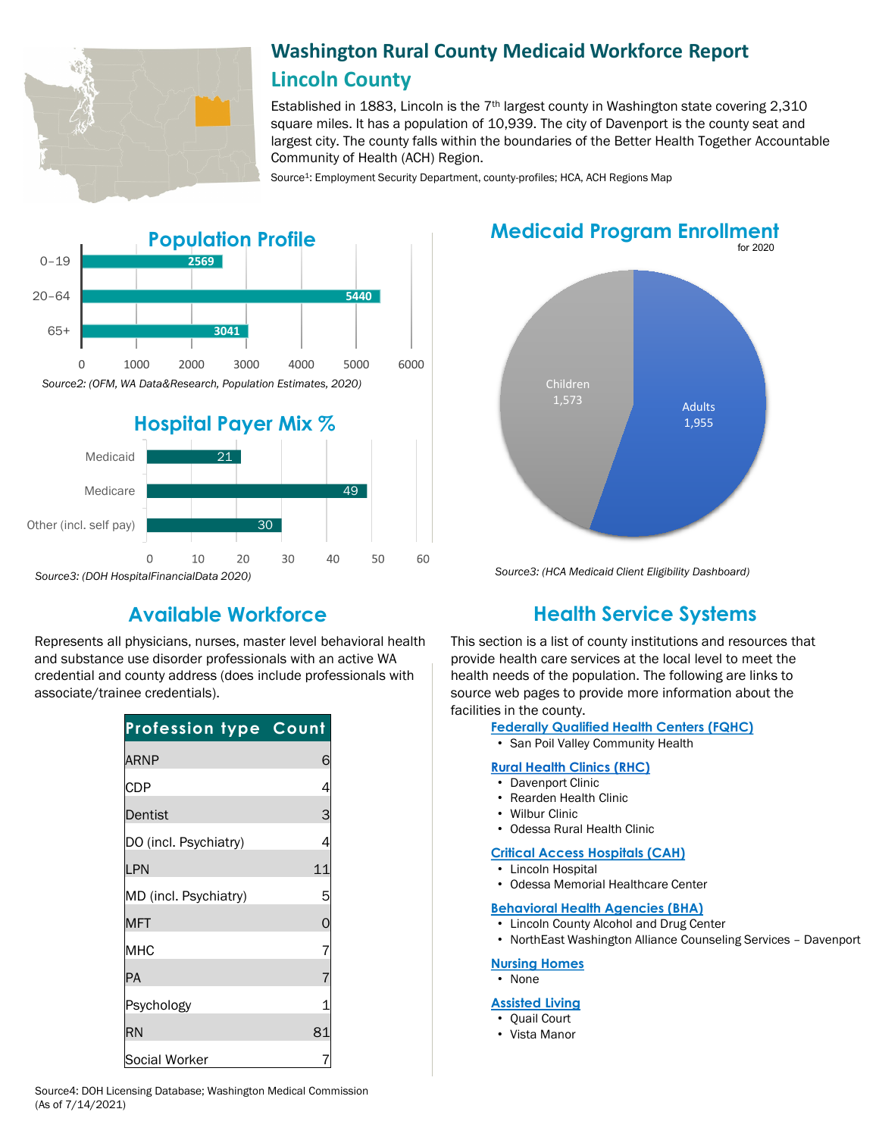

# **Washington Rural County Medicaid Workforce Report Lincoln County**

Established in 1883, Lincoln is the  $7<sup>th</sup>$  largest county in Washington state covering 2,310 square miles. It has a population of 10,939. The city of Davenport is the county seat and largest city. The county falls within the boundaries of the Better Health Together Accountable Community of Health (ACH) Region.

Source<sup>1</sup>: Employment Security Department, county-profiles; HCA, ACH Regions Map



Represents all physicians, nurses, master level behavioral health and substance use disorder professionals with an active WA credential and county address (does include professionals with associate/trainee credentials).

| <b>Profession type Count</b> |                |
|------------------------------|----------------|
| <b>ARNP</b>                  | 6              |
| <b>CDP</b>                   | 4              |
| Dentist                      | 3              |
| DO (incl. Psychiatry)        | 4              |
| LPN                          | 11             |
| MD (incl. Psychiatry)        | 5              |
| <b>MFT</b>                   | $\mathbf{O}$   |
| <b>MHC</b>                   | $\overline{7}$ |
| PA                           | $\overline{7}$ |
| Psychology                   |                |
| <b>RN</b>                    | 81             |
| Social Worker                |                |

**Medicaid Program Enrollment**



*Source3: (HCA Medicaid Client Eligibility Dashboard)*

# **Available Workforce Health Service Systems**

This section is a list of county institutions and resources that provide health care services at the local level to meet the health needs of the population. The following are links to source web pages to provide more information about the facilities in the county.

**[Federally Qualified Health Centers \(FQHC\)](https://www.doh.wa.gov/ForPublicHealthandHealthcareProviders/RuralHealth/PrimaryCareOffice)**

• San Poil Valley Community Health

### **[Rural Health Clinics \(RHC\)](https://www.doh.wa.gov/ForPublicHealthandHealthcareProviders/RuralHealth/RuralHealthSystems)**

- Davenport Clinic
- Rearden Health Clinic
- Wilbur Clinic
- Odessa Rural Health Clinic

#### **[Critical Access Hospitals \(CAH\)](https://www.doh.wa.gov/ForPublicHealthandHealthcareProviders/RuralHealth/RuralHealthSystems)**

- Lincoln Hospital
- Odessa Memorial Healthcare Center

## **[Behavioral Health Agencies \(BHA\)](https://www.doh.wa.gov/LicensesPermitsandCertificates/ProviderCredentialSearch)**

- Lincoln County Alcohol and Drug Center
- NorthEast Washington Alliance Counseling Services Davenport

## **[Nursing Homes](https://fortress.wa.gov/dshs/adsaapps/lookup/NHPubLookup.aspx)**

## • None

# **[Assisted Living](https://fortress.wa.gov/dshs/adsaapps/lookup/BHPubLookup.aspx)**

- Quail Court
- Vista Manor

Source4: DOH Licensing Database; Washington Medical Commission (As of 7/14/2021)